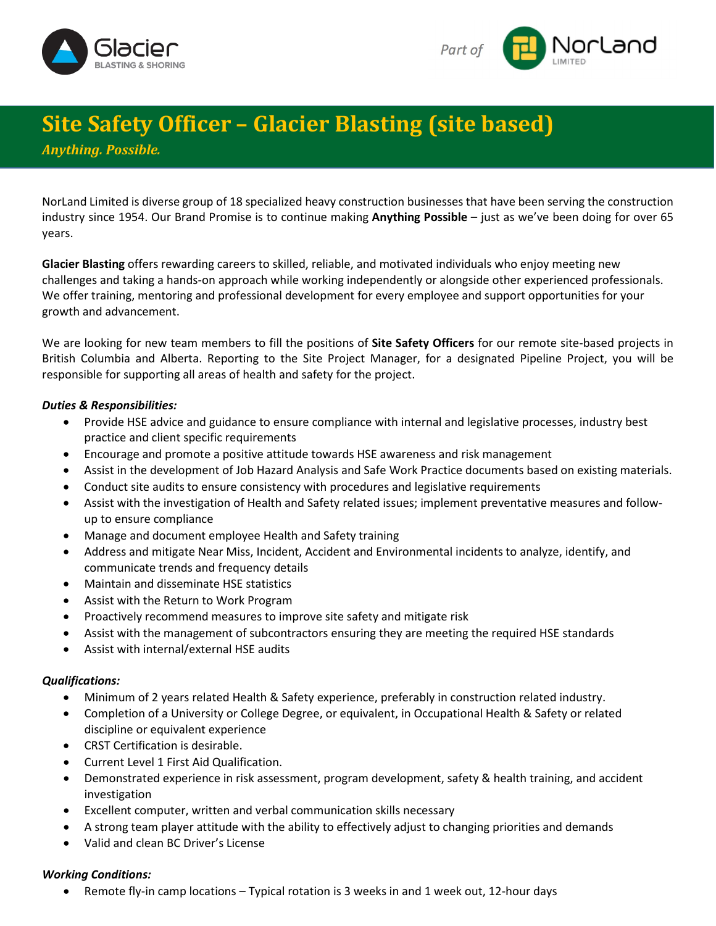



## **Site Safety Officer – Glacier Blasting (site based)**

*Anything. Possible.*

NorLand Limited is diverse group of 18 specialized heavy construction businesses that have been serving the construction industry since 1954. Our Brand Promise is to continue making **Anything Possible** – just as we've been doing for over 65 years.

**Glacier Blasting** offers rewarding careers to skilled, reliable, and motivated individuals who enjoy meeting new challenges and taking a hands-on approach while working independently or alongside other experienced professionals. We offer training, mentoring and professional development for every employee and support opportunities for your growth and advancement.

We are looking for new team members to fill the positions of **Site Safety Officers** for our remote site-based projects in British Columbia and Alberta. Reporting to the Site Project Manager, for a designated Pipeline Project, you will be responsible for supporting all areas of health and safety for the project.

## *Duties & Responsibilities:*

- Provide HSE advice and guidance to ensure compliance with internal and legislative processes, industry best practice and client specific requirements
- Encourage and promote a positive attitude towards HSE awareness and risk management
- Assist in the development of Job Hazard Analysis and Safe Work Practice documents based on existing materials.
- Conduct site audits to ensure consistency with procedures and legislative requirements
- Assist with the investigation of Health and Safety related issues; implement preventative measures and followup to ensure compliance
- Manage and document employee Health and Safety training
- Address and mitigate Near Miss, Incident, Accident and Environmental incidents to analyze, identify, and communicate trends and frequency details
- Maintain and disseminate HSE statistics
- Assist with the Return to Work Program
- Proactively recommend measures to improve site safety and mitigate risk
- Assist with the management of subcontractors ensuring they are meeting the required HSE standards
- Assist with internal/external HSE audits

## *Qualifications:*

- Minimum of 2 years related Health & Safety experience, preferably in construction related industry.
- Completion of a University or College Degree, or equivalent, in Occupational Health & Safety or related discipline or equivalent experience
- CRST Certification is desirable.
- Current Level 1 First Aid Qualification.
- Demonstrated experience in risk assessment, program development, safety & health training, and accident investigation
- Excellent computer, written and verbal communication skills necessary
- A strong team player attitude with the ability to effectively adjust to changing priorities and demands
- Valid and clean BC Driver's License

## *Working Conditions:*

• Remote fly-in camp locations – Typical rotation is 3 weeks in and 1 week out, 12-hour days